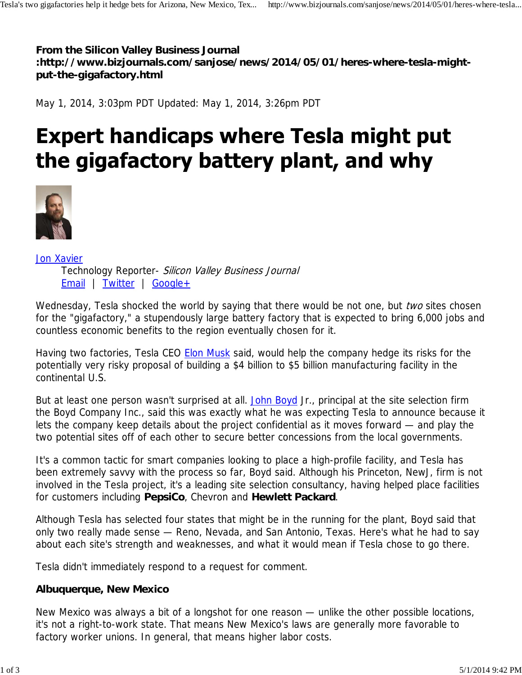**From the Silicon Valley Business Journal :http://www.bizjournals.com/sanjose/news/2014/05/01/heres-where-tesla-mightput-the-gigafactory.html**

May 1, 2014, 3:03pm PDT Updated: May 1, 2014, 3:26pm PDT

# **Expert handicaps where Tesla might put** the gigafactory battery plant, and why



Jon Xavier Technology Reporter- Silicon Valley Business Journal Email | Twitter | Google+

Wednesday, Tesla shocked the world by saying that there would be not one, but two sites chosen for the "gigafactory," a stupendously large battery factory that is expected to bring 6,000 jobs and countless economic benefits to the region eventually chosen for it.

Having two factories, Tesla CEO **Elon Musk** said, would help the company hedge its risks for the potentially very risky proposal of building a \$4 billion to \$5 billion manufacturing facility in the continental U.S.

But at least one person wasn't surprised at all. John Boyd Jr., principal at the site selection firm the Boyd Company Inc., said this was exactly what he was expecting Tesla to announce because it lets the company keep details about the project confidential as it moves forward — and play the two potential sites off of each other to secure better concessions from the local governments.

It's a common tactic for smart companies looking to place a high-profile facility, and Tesla has been extremely savvy with the process so far, Boyd said. Although his Princeton, NewJ, firm is not involved in the Tesla project, it's a leading site selection consultancy, having helped place facilities for customers including **PepsiCo**, Chevron and **Hewlett Packard**.

Although Tesla has selected four states that might be in the running for the plant, Boyd said that only two really made sense — Reno, Nevada, and San Antonio, Texas. Here's what he had to say about each site's strength and weaknesses, and what it would mean if Tesla chose to go there.

Tesla didn't immediately respond to a request for comment.

## **Albuquerque, New Mexico**

New Mexico was always a bit of a longshot for one reason — unlike the other possible locations, it's not a right-to-work state. That means New Mexico's laws are generally more favorable to factory worker unions. In general, that means higher labor costs.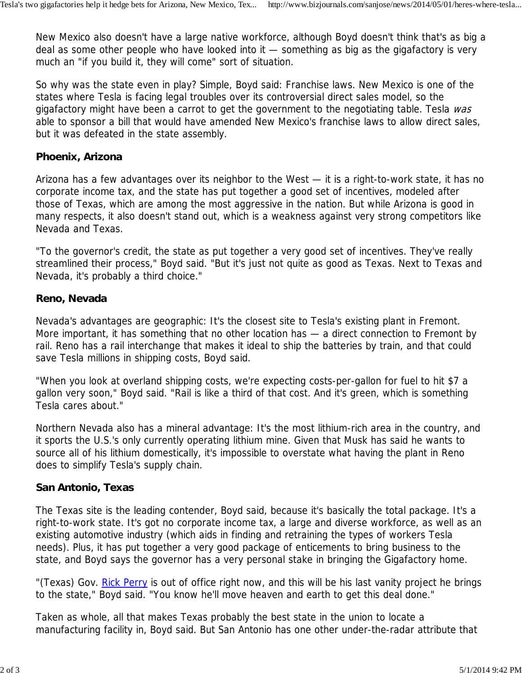New Mexico also doesn't have a large native workforce, although Boyd doesn't think that's as big a deal as some other people who have looked into it — something as big as the gigafactory is very much an "if you build it, they will come" sort of situation.

So why was the state even in play? Simple, Boyd said: Franchise laws. New Mexico is one of the states where Tesla is facing legal troubles over its controversial direct sales model, so the gigafactory might have been a carrot to get the government to the negotiating table. Tesla was able to sponsor a bill that would have amended New Mexico's franchise laws to allow direct sales, but it was defeated in the state assembly.

### **Phoenix, Arizona**

Arizona has a few advantages over its neighbor to the West — it is a right-to-work state, it has no corporate income tax, and the state has put together a good set of incentives, modeled after those of Texas, which are among the most aggressive in the nation. But while Arizona is good in many respects, it also doesn't stand out, which is a weakness against very strong competitors like Nevada and Texas.

"To the governor's credit, the state as put together a very good set of incentives. They've really streamlined their process," Boyd said. "But it's just not quite as good as Texas. Next to Texas and Nevada, it's probably a third choice."

#### **Reno, Nevada**

Nevada's advantages are geographic: It's the closest site to Tesla's existing plant in Fremont. More important, it has something that no other location has — a direct connection to Fremont by rail. Reno has a rail interchange that makes it ideal to ship the batteries by train, and that could save Tesla millions in shipping costs, Boyd said.

"When you look at overland shipping costs, we're expecting costs-per-gallon for fuel to hit \$7 a gallon very soon," Boyd said. "Rail is like a third of that cost. And it's green, which is something Tesla cares about."

Northern Nevada also has a mineral advantage: It's the most lithium-rich area in the country, and it sports the U.S.'s only currently operating lithium mine. Given that Musk has said he wants to source all of his lithium domestically, it's impossible to overstate what having the plant in Reno does to simplify Tesla's supply chain.

## **San Antonio, Texas**

The Texas site is the leading contender, Boyd said, because it's basically the total package. It's a right-to-work state. It's got no corporate income tax, a large and diverse workforce, as well as an existing automotive industry (which aids in finding and retraining the types of workers Tesla needs). Plus, it has put together a very good package of enticements to bring business to the state, and Boyd says the governor has a very personal stake in bringing the Gigafactory home.

"(Texas) Gov. Rick Perry is out of office right now, and this will be his last vanity project he brings to the state," Boyd said. "You know he'll move heaven and earth to get this deal done."

Taken as whole, all that makes Texas probably the best state in the union to locate a manufacturing facility in, Boyd said. But San Antonio has one other under-the-radar attribute that